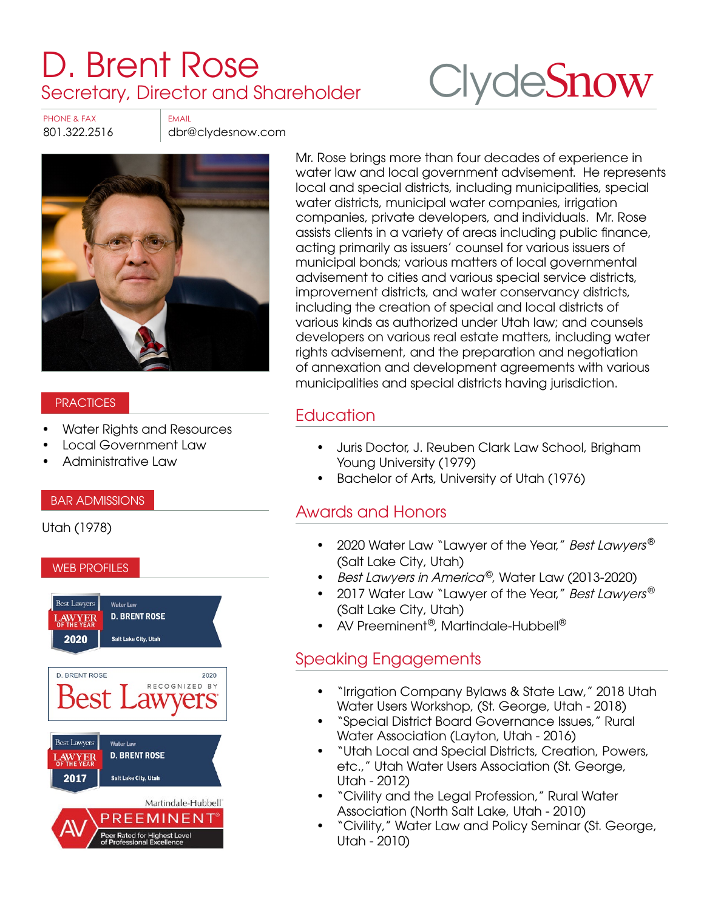# [D. Brent Rose](https://www.clydesnow.com/attorneys/23-D-Brent-Rose) Secretary, Director and Shareholder



PHONE & FAX FAX

801.322.2516 dbr@clydesnow.com



### **PRACTICES**

- Water Rights and Resources
- Local Government Law
- Administrative Law

### BAR ADMISSIONS

Utah (1978)

#### WEB PROFILES



Mr. Rose brings more than four decades of experience in water law and local government advisement. He represents local and special districts, including municipalities, special water districts, municipal water companies, irrigation companies, private developers, and individuals. Mr. Rose assists clients in a variety of areas including public finance, acting primarily as issuers' counsel for various issuers of municipal bonds; various matters of local governmental advisement to cities and various special service districts, improvement districts, and water conservancy districts, including the creation of special and local districts of various kinds as authorized under Utah law; and counsels developers on various real estate matters, including water rights advisement, and the preparation and negotiation of annexation and development agreements with various municipalities and special districts having jurisdiction.

## **Education**

- Juris Doctor, J. Reuben Clark Law School, Brigham Young University (1979)
- Bachelor of Arts, University of Utah (1976)

### Awards and Honors

- 2020 Water Law "Lawyer of the Year," Best Lawyers<sup>®</sup> (Salt Lake City, Utah)
- Best Lawyers in America<sup>©</sup>, Water Law (2013-2020)
- 2017 Water Law "Lawyer of the Year," Best Lawyers<sup>®</sup> (Salt Lake City, Utah)
- AV Preeminent®, Martindale-Hubbell®

### Speaking Engagements

- "Irrigation Company Bylaws & State Law," 2018 Utah Water Users Workshop, (St. George, Utah - 2018)
- "Special District Board Governance Issues," Rural Water Association (Layton, Utah - 2016)
- "Utah Local and Special Districts, Creation, Powers, etc.," Utah Water Users Association (St. George, Utah - 2012)
- "Civility and the Legal Profession," Rural Water Association (North Salt Lake, Utah - 2010)
- "Civility," Water Law and Policy Seminar (St. George, Utah - 2010)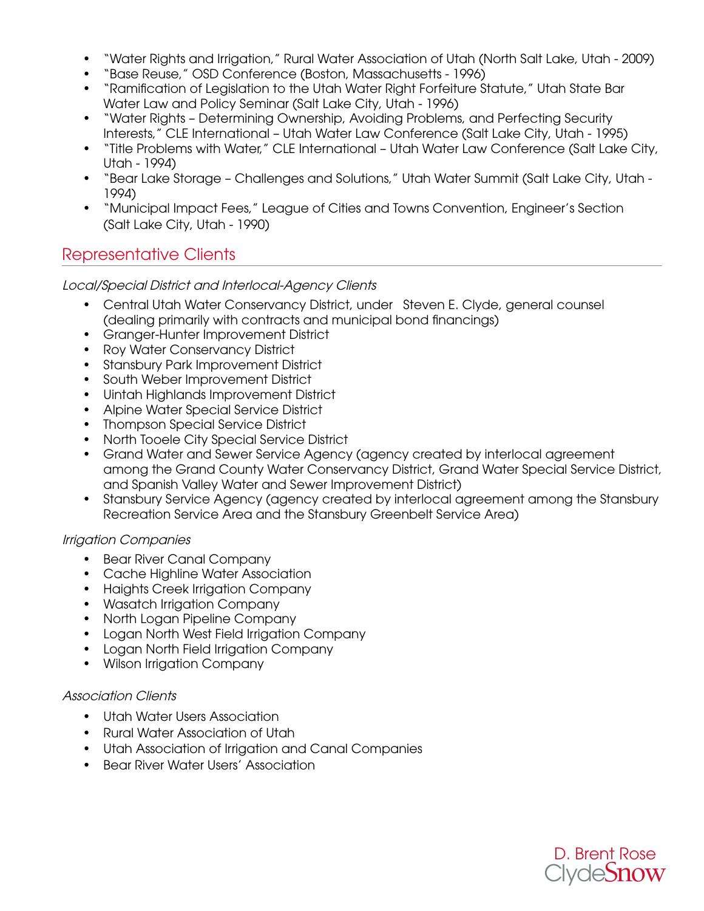- "Water Rights and Irrigation," Rural Water Association of Utah (North Salt Lake, Utah 2009)
- "Base Reuse," OSD Conference (Boston, Massachusetts 1996)
- "Ramification of Legislation to the Utah Water Right Forfeiture Statute," Utah State Bar Water Law and Policy Seminar (Salt Lake City, Utah - 1996)
- "Water Rights Determining Ownership, Avoiding Problems, and Perfecting Security Interests," CLE International – Utah Water Law Conference (Salt Lake City, Utah - 1995)
- "Title Problems with Water," CLE International Utah Water Law Conference (Salt Lake City, Utah - 1994)
- "Bear Lake Storage Challenges and Solutions," Utah Water Summit (Salt Lake City, Utah 1994)
- "Municipal Impact Fees," League of Cities and Towns Convention, Engineer's Section (Salt Lake City, Utah - 1990)

### Representative Clients

### Local/Special District and Interlocal-Agency Clients

- Central Utah Water Conservancy District, under Steven E. Clyde, general counsel (dealing primarily with contracts and municipal bond financings)
- Granger-Hunter Improvement District
- Roy Water Conservancy District
- Stansbury Park Improvement District
- South Weber Improvement District
- Uintah Highlands Improvement District
- Alpine Water Special Service District
- Thompson Special Service District
- North Tooele City Special Service District
- Grand Water and Sewer Service Agency (agency created by interlocal agreement among the Grand County Water Conservancy District, Grand Water Special Service District, and Spanish Valley Water and Sewer Improvement District)
- Stansbury Service Agency (agency created by interlocal agreement among the Stansbury Recreation Service Area and the Stansbury Greenbelt Service Area)

### Irrigation Companies

- Bear River Canal Company
- Cache Highline Water Association
- Haights Creek Irrigation Company
- Wasatch Irrigation Company
- North Logan Pipeline Company
- Logan North West Field Irrigation Company
- Logan North Field Irrigation Company
- Wilson Irrigation Company

### Association Clients

- Utah Water Users Association
- Rural Water Association of Utah
- Utah Association of Irrigation and Canal Companies
- Bear River Water Users' Association